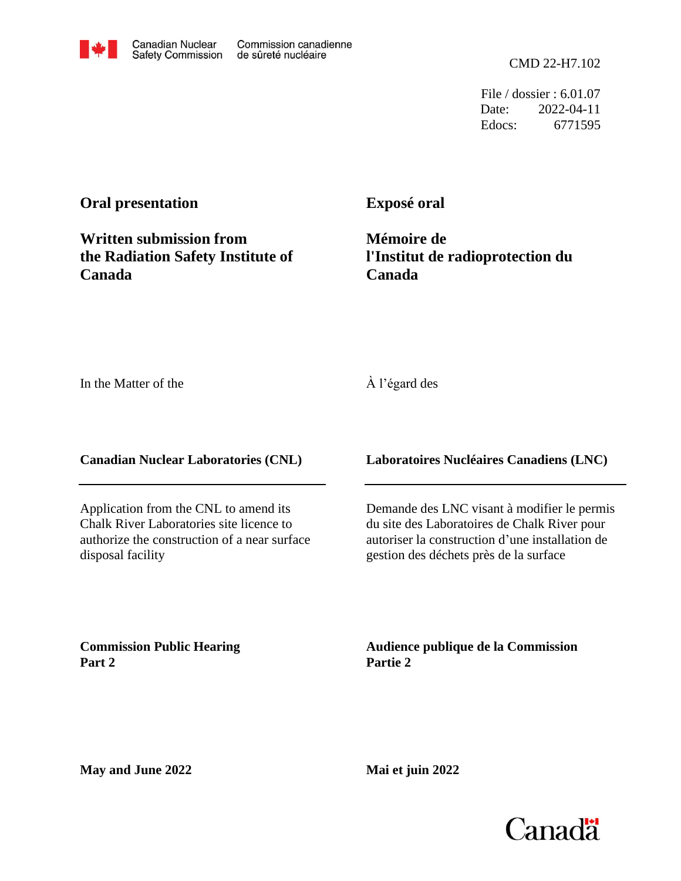CMD 22-H7.102

File / dossier : 6.01.07 Date: 2022-04-11 Edocs: 6771595

## **Oral presentation**

**Exposé oral**

**Written submission from the Radiation Safety Institute of Canada**

**Mémoire de l'Institut de radioprotection du Canada**

In the Matter of the

## À l'égard des

**Canadian Nuclear Laboratories (CNL)**

Application from the CNL to amend its Chalk River Laboratories site licence to authorize the construction of a near surface disposal facility

**Laboratoires Nucléaires Canadiens (LNC)**

Demande des LNC visant à modifier le permis du site des Laboratoires de Chalk River pour autoriser la construction d'une installation de gestion des déchets près de la surface

**Commission Public Hearing Part 2**

**Audience publique de la Commission Partie 2**

**May and June 2022**